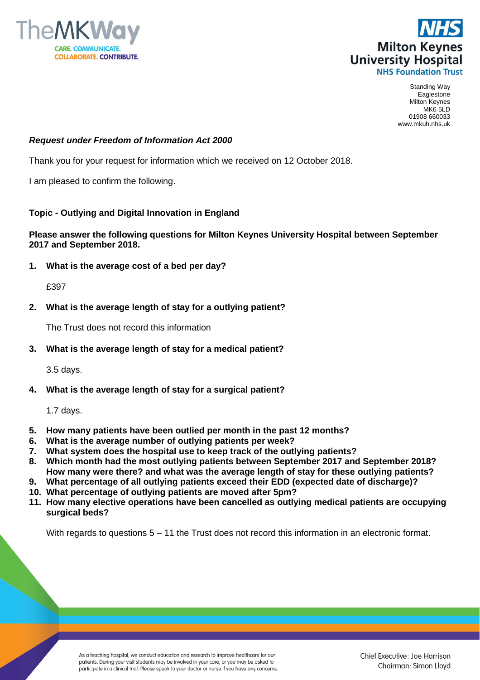



Standing Way Eaglestone Milton Keynes MK6 5LD 01908 660033 www.mkuh.nhs.uk

## *Request under Freedom of Information Act 2000*

Thank you for your request for information which we received on 12 October 2018.

I am pleased to confirm the following.

## **Topic - Outlying and Digital Innovation in England**

## **Please answer the following questions for Milton Keynes University Hospital between September 2017 and September 2018.**

**1. What is the average cost of a bed per day?**

£397

**2. What is the average length of stay for a outlying patient?**

The Trust does not record this information

**3. What is the average length of stay for a medical patient?**

3.5 days.

**4. What is the average length of stay for a surgical patient?**

1.7 days.

- **5. How many patients have been outlied per month in the past 12 months?**
- **6. What is the average number of outlying patients per week?**
- **7. What system does the hospital use to keep track of the outlying patients?**
- **8. Which month had the most outlying patients between September 2017 and September 2018? How many were there? and what was the average length of stay for these outlying patients?**
- **9. What percentage of all outlying patients exceed their EDD (expected date of discharge)?**
- **10. What percentage of outlying patients are moved after 5pm?**
- **11. How many elective operations have been cancelled as outlying medical patients are occupying surgical beds?**

With regards to questions  $5 - 11$  the Trust does not record this information in an electronic format.

As a teaching hospital, we conduct education and research to improve healthcare for our patients. During your visit students may be involved in your care, or you may be asked to participate in a clinical trial. Please speak to your doctor or nurse if you have any concerns.